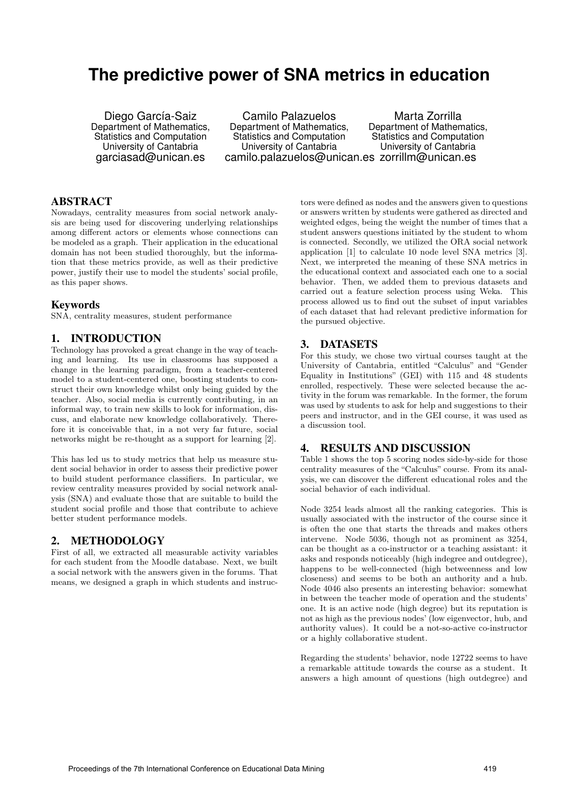# **The predictive power of SNA metrics in education**

Diego García-Saiz Department of Mathematics, Statistics and Computation University of Cantabria garciasad@unican.es

Camilo Palazuelos Department of Mathematics, Statistics and Computation University of Cantabria camilo.palazuelos@unican.es zorrillm@unican.es Marta Zorrilla Department of Mathematics, Statistics and Computation University of Cantabria

## ABSTRACT

Nowadays, centrality measures from social network analysis are being used for discovering underlying relationships among different actors or elements whose connections can be modeled as a graph. Their application in the educational domain has not been studied thoroughly, but the information that these metrics provide, as well as their predictive power, justify their use to model the students' social profile, as this paper shows.

#### Keywords

SNA, centrality measures, student performance

#### 1. INTRODUCTION

Technology has provoked a great change in the way of teaching and learning. Its use in classrooms has supposed a change in the learning paradigm, from a teacher-centered model to a student-centered one, boosting students to construct their own knowledge whilst only being guided by the teacher. Also, social media is currently contributing, in an informal way, to train new skills to look for information, discuss, and elaborate new knowledge collaboratively. Therefore it is conceivable that, in a not very far future, social networks might be re-thought as a support for learning [2].

This has led us to study metrics that help us measure student social behavior in order to assess their predictive power to build student performance classifiers. In particular, we review centrality measures provided by social network analysis (SNA) and evaluate those that are suitable to build the student social profile and those that contribute to achieve better student performance models.

## 2. METHODOLOGY

First of all, we extracted all measurable activity variables for each student from the Moodle database. Next, we built a social network with the answers given in the forums. That means, we designed a graph in which students and instruc-

tors were defined as nodes and the answers given to questions or answers written by students were gathered as directed and weighted edges, being the weight the number of times that a student answers questions initiated by the student to whom is connected. Secondly, we utilized the ORA social network application [1] to calculate 10 node level SNA metrics [3]. Next, we interpreted the meaning of these SNA metrics in the educational context and associated each one to a social behavior. Then, we added them to previous datasets and carried out a feature selection process using Weka. This process allowed us to find out the subset of input variables of each dataset that had relevant predictive information for the pursued objective.

## 3. DATASETS

For this study, we chose two virtual courses taught at the University of Cantabria, entitled "Calculus" and "Gender Equality in Institutions" (GEI) with 115 and 48 students enrolled, respectively. These were selected because the activity in the forum was remarkable. In the former, the forum was used by students to ask for help and suggestions to their peers and instructor, and in the GEI course, it was used as a discussion tool.

#### 4. RESULTS AND DISCUSSION

Table 1 shows the top 5 scoring nodes side-by-side for those centrality measures of the "Calculus" course. From its analysis, we can discover the different educational roles and the social behavior of each individual.

Node 3254 leads almost all the ranking categories. This is usually associated with the instructor of the course since it is often the one that starts the threads and makes others intervene. Node 5036, though not as prominent as 3254, can be thought as a co-instructor or a teaching assistant: it asks and responds noticeably (high indegree and outdegree), happens to be well-connected (high betweenness and low closeness) and seems to be both an authority and a hub. Node 4046 also presents an interesting behavior: somewhat in between the teacher mode of operation and the students' one. It is an active node (high degree) but its reputation is not as high as the previous nodes' (low eigenvector, hub, and authority values). It could be a not-so-active co-instructor or a highly collaborative student.

Regarding the students' behavior, node 12722 seems to have a remarkable attitude towards the course as a student. It answers a high amount of questions (high outdegree) and